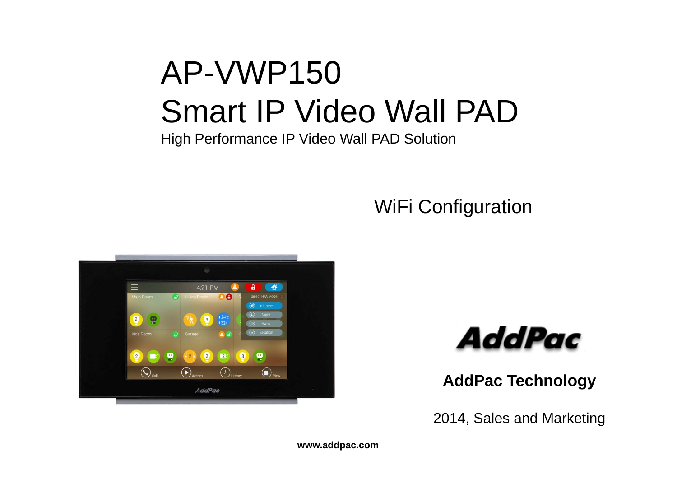## AP-VWP150 Smart IP Video Wall PAD

High Performance IP Video Wall PAD Solution

#### WiFi Configuration





**AddPac Technology**

2014, Sales and Marketing

**www.addpac.com**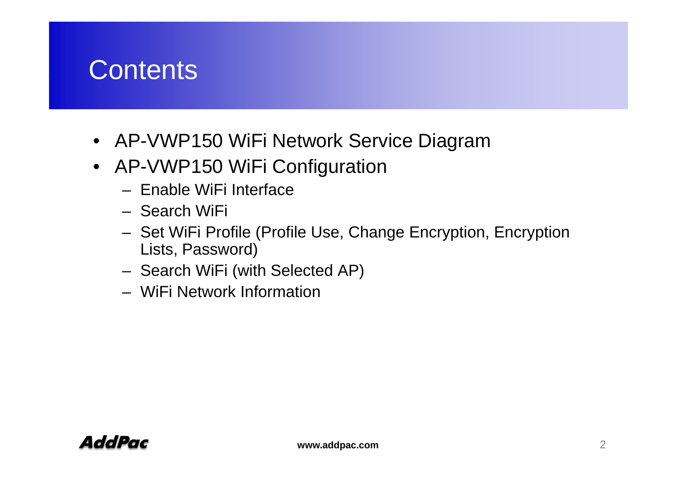#### **Contents**

- AP-VWP150 WiFi Network Service Diagram
- AP-VWP150 WiFi Configuration
	- Enable WiFi Interface
	- Search WiFi
	- –- Set WiFi Profile (Profile Use, Change Encryption, Encryption Lists, Password)
	- –Search WiFi (with Selected AP)
	- WiFi Network Information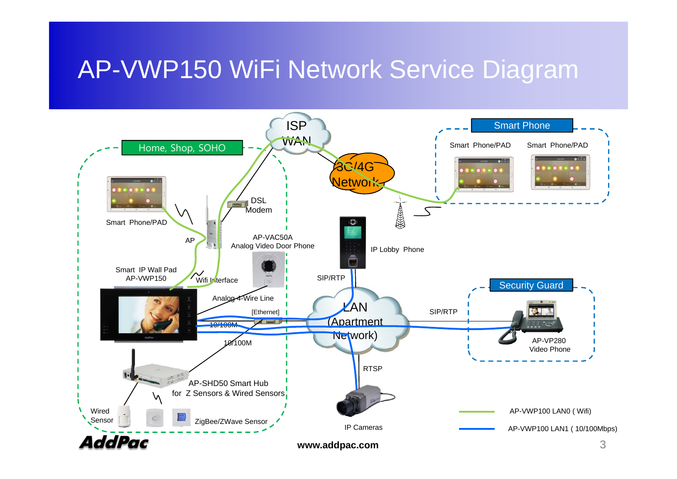#### AP-VWP150 WiFi Network Service Diagram

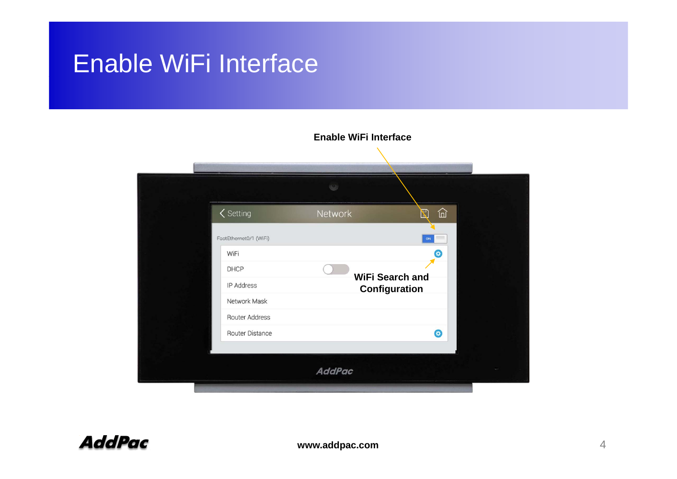#### Enable WiFi Interface

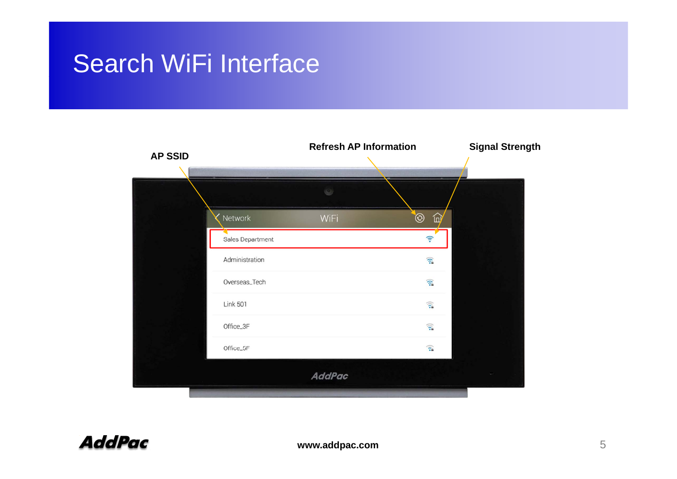## Search WiFi Interface

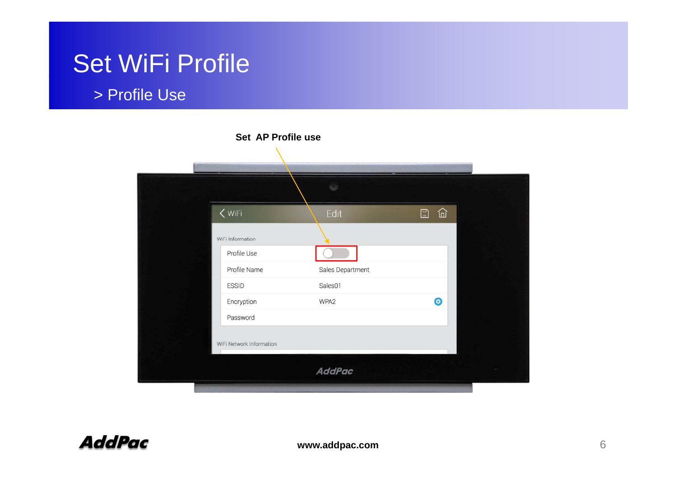#### > Profile Use

|                          | Set AP Profile use |            |  |
|--------------------------|--------------------|------------|--|
|                          | $\omega$           |            |  |
| $<$ WiFi                 | Edit               | 仚<br>$\Xi$ |  |
| WiFi Information         |                    |            |  |
| Profile Use              |                    |            |  |
| Profile Name             | Sales Department   |            |  |
| <b>ESSID</b>             | Sales01            |            |  |
| Encryption               | WPA <sub>2</sub>   | $\bullet$  |  |
| Password                 |                    |            |  |
| WiFi Network Information |                    |            |  |
|                          | <b>AddPac</b>      |            |  |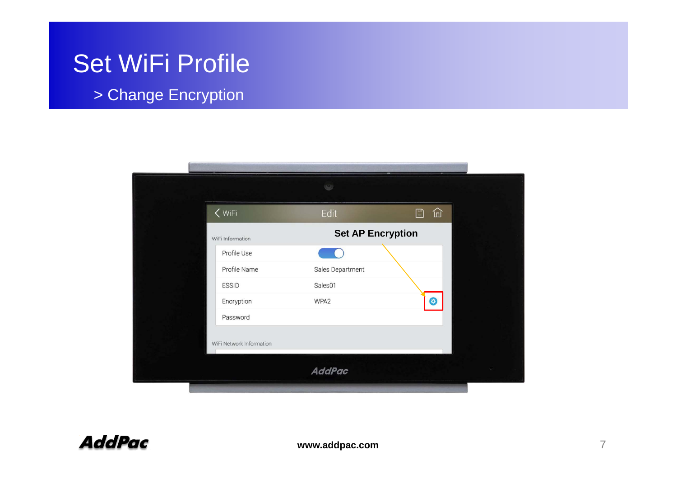> Change Encryption

| $<$ WiFi         | Edit                     | 仚<br>$\mathbb{D}$ |
|------------------|--------------------------|-------------------|
| WiFi Information | <b>Set AP Encryption</b> |                   |
| Profile Use      |                          |                   |
| Profile Name     | Sales Department         |                   |
| <b>ESSID</b>     | Sales01                  |                   |
| Encryption       | WPA2                     | $\bullet$         |
| Password         |                          |                   |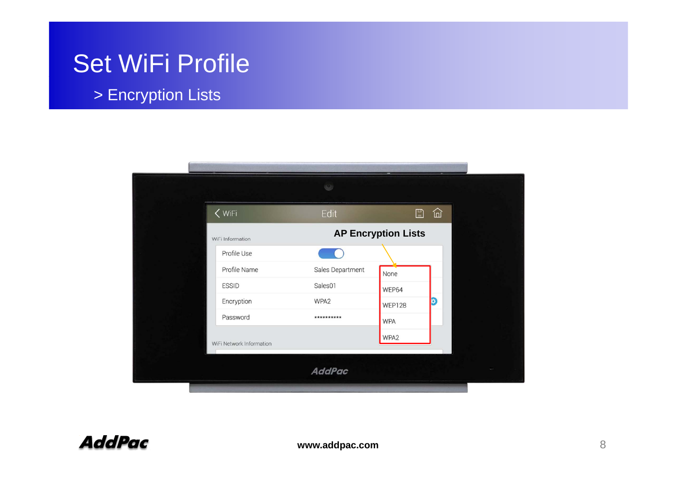#### > Encryption Lists

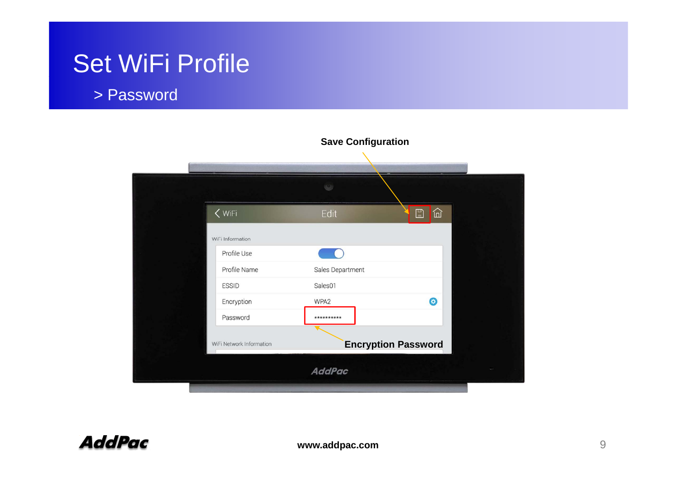#### > Password

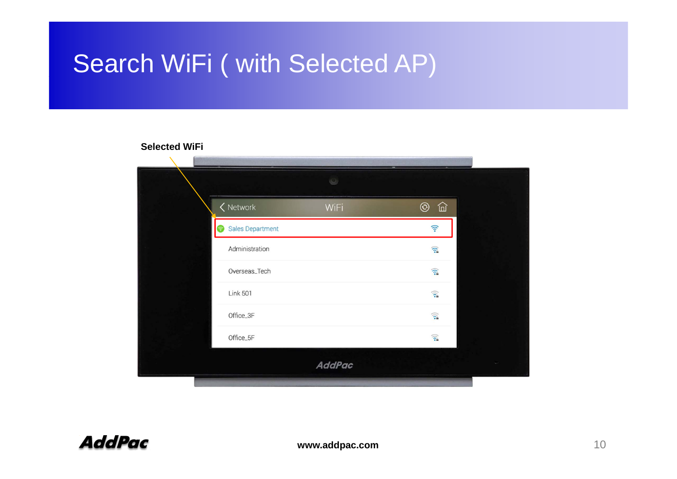## Search WiFi ( with Selected AP)

#### **Selected WiFi**

|                               | $\mathbb{C}$  |                          |
|-------------------------------|---------------|--------------------------|
| $\zeta$ Network               | WiFi          | 仚<br>$\odot$             |
| Sales Department<br>$\bullet$ |               | $\widehat{\mathbb{Z}}$   |
| Administration                |               | $\widehat{\mathbb{R}}$   |
| Overseas_Tech                 |               | $\widehat{\mathbb{R}}$   |
| <b>Link 501</b>               |               | $\widehat{\mathfrak{D}}$ |
| Office_3F                     |               | $\widehat{\mathbb{R}}$   |
| Office_5F                     |               | $\widehat{\mathfrak{D}}$ |
|                               | <b>AddPac</b> |                          |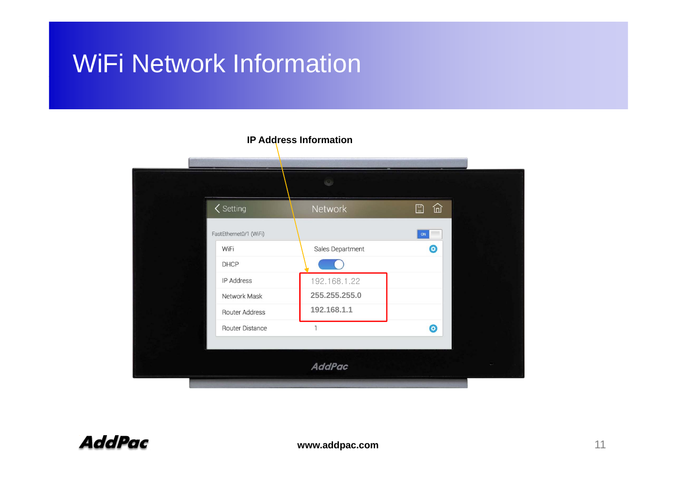## WiFi Network Information